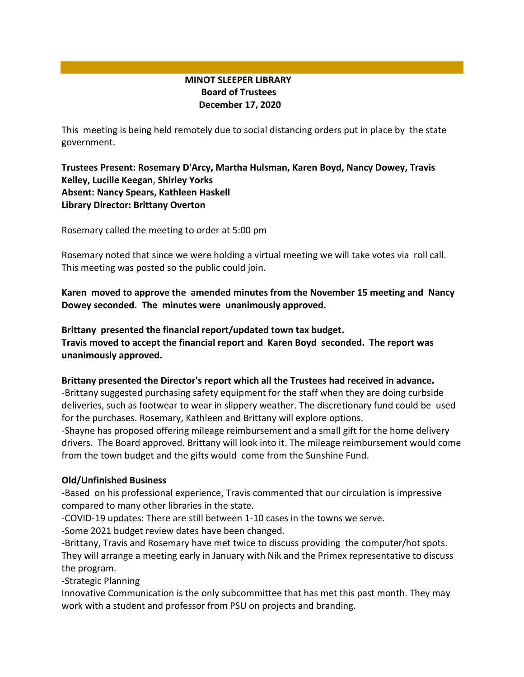# **MINOT SLEEPER LIBRARY Board of Trustees December 17, 2020**

This meeting is being held remotely due to social distancing orders put in place by the state government.

# **Trustees Present: Rosemary D'Arcy, Martha Hulsman, Karen Boyd, Nancy Dowey, Travis Kelley, Lucille Keegan**, **Shirley Yorks Absent: Nancy Spears, Kathleen Haskell Library Director: Brittany Overton**

Rosemary called the meeting to order at 5:00 pm

Rosemary noted that since we were holding a virtual meeting we will take votes via roll call. This meeting was posted so the public could join.

**Karen moved to approve the amended minutes from the November 15 meeting and Nancy Dowey seconded. The minutes were unanimously approved.**

**Brittany presented the financial report/updated town tax budget. Travis moved to accept the financial report and Karen Boyd seconded. The report was unanimously approved.**

#### **Brittany presented the Director's report which all the Trustees had received in advance.**

-Brittany suggested purchasing safety equipment for the staff when they are doing curbside deliveries, such as footwear to wear in slippery weather. The discretionary fund could be used for the purchases. Rosemary, Kathleen and Brittany will explore options.

-Shayne has proposed offering mileage reimbursement and a small gift for the home delivery drivers. The Board approved. Brittany will look into it. The mileage reimbursement would come from the town budget and the gifts would come from the Sunshine Fund.

### **Old/Unfinished Business**

-Based on his professional experience, Travis commented that our circulation is impressive compared to many other libraries in the state.

-COVID-19 updates: There are still between 1-10 cases in the towns we serve.

-Some 2021 budget review dates have been changed.

-Brittany, Travis and Rosemary have met twice to discuss providing the computer/hot spots. They will arrange a meeting early in January with Nik and the Primex representative to discuss the program.

-Strategic Planning

Innovative Communication is the only subcommittee that has met this past month. They may work with a student and professor from PSU on projects and branding.